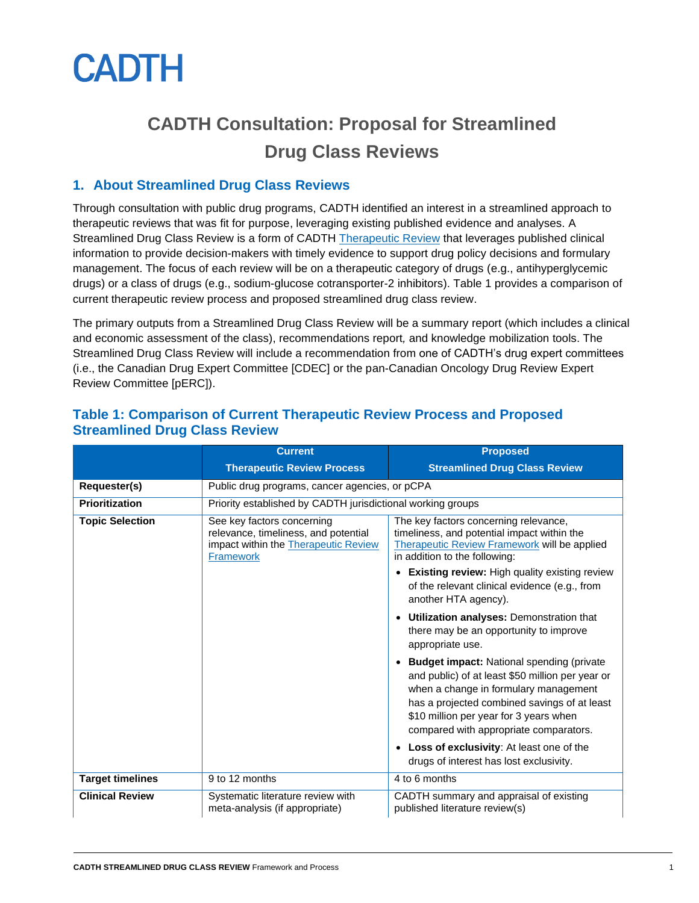

# **CADTH Consultation: Proposal for Streamlined Drug Class Reviews**

# **1. About Streamlined Drug Class Reviews**

Through consultation with public drug programs, CADTH identified an interest in a streamlined approach to therapeutic reviews that was fit for purpose, leveraging existing published evidence and analyses. A Streamlined Drug Class Review is a form of CADTH [Therapeutic Review](https://www.cadth.ca/therapeutic-review-framework) that leverages published clinical information to provide decision-makers with timely evidence to support drug policy decisions and formulary management. The focus of each review will be on a therapeutic category of drugs (e.g., antihyperglycemic drugs) or a class of drugs (e.g., sodium-glucose cotransporter-2 inhibitors). Table 1 provides a comparison of current therapeutic review process and proposed streamlined drug class review.

The primary outputs from a Streamlined Drug Class Review will be a summary report (which includes a clinical and economic assessment of the class), recommendations report*,* and knowledge mobilization tools. The Streamlined Drug Class Review will include a recommendation from one of CADTH's drug expert committees (i.e., the Canadian Drug Expert Committee [CDEC] or the pan-Canadian Oncology Drug Review Expert Review Committee [pERC]).

|                         | <b>Current</b>                                                                                                                 | <b>Proposed</b>                                                                                                                                                                                                                                                                   |
|-------------------------|--------------------------------------------------------------------------------------------------------------------------------|-----------------------------------------------------------------------------------------------------------------------------------------------------------------------------------------------------------------------------------------------------------------------------------|
|                         | <b>Therapeutic Review Process</b>                                                                                              | <b>Streamlined Drug Class Review</b>                                                                                                                                                                                                                                              |
| Requester(s)            | Public drug programs, cancer agencies, or pCPA                                                                                 |                                                                                                                                                                                                                                                                                   |
| Prioritization          | Priority established by CADTH jurisdictional working groups                                                                    |                                                                                                                                                                                                                                                                                   |
| <b>Topic Selection</b>  | See key factors concerning<br>relevance, timeliness, and potential<br>impact within the Therapeutic Review<br><b>Framework</b> | The key factors concerning relevance,<br>timeliness, and potential impact within the<br>Therapeutic Review Framework will be applied<br>in addition to the following:                                                                                                             |
|                         |                                                                                                                                | <b>Existing review: High quality existing review</b><br>of the relevant clinical evidence (e.g., from<br>another HTA agency).                                                                                                                                                     |
|                         |                                                                                                                                | Utilization analyses: Demonstration that<br>there may be an opportunity to improve<br>appropriate use.                                                                                                                                                                            |
|                         |                                                                                                                                | <b>Budget impact:</b> National spending (private<br>and public) of at least \$50 million per year or<br>when a change in formulary management<br>has a projected combined savings of at least<br>\$10 million per year for 3 years when<br>compared with appropriate comparators. |
|                         |                                                                                                                                | Loss of exclusivity: At least one of the<br>$\bullet$<br>drugs of interest has lost exclusivity.                                                                                                                                                                                  |
| <b>Target timelines</b> | 9 to 12 months                                                                                                                 | 4 to 6 months                                                                                                                                                                                                                                                                     |
| <b>Clinical Review</b>  | Systematic literature review with<br>meta-analysis (if appropriate)                                                            | CADTH summary and appraisal of existing<br>published literature review(s)                                                                                                                                                                                                         |

### **Table 1: Comparison of Current Therapeutic Review Process and Proposed Streamlined Drug Class Review**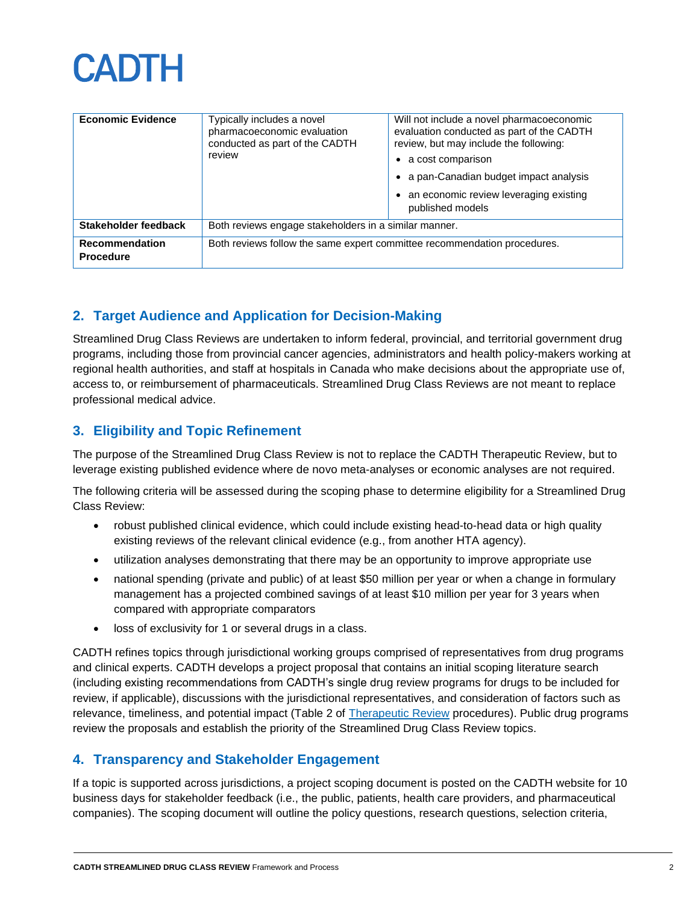

| <b>Economic Evidence</b>           | Typically includes a novel<br>pharmacoeconomic evaluation<br>conducted as part of the CADTH<br>review | Will not include a novel pharmacoeconomic<br>evaluation conducted as part of the CADTH<br>review, but may include the following:<br>a cost comparison<br>a pan-Canadian budget impact analysis<br>an economic review leveraging existing<br>published models |
|------------------------------------|-------------------------------------------------------------------------------------------------------|--------------------------------------------------------------------------------------------------------------------------------------------------------------------------------------------------------------------------------------------------------------|
| Stakeholder feedback               | Both reviews engage stakeholders in a similar manner.                                                 |                                                                                                                                                                                                                                                              |
| Recommendation<br><b>Procedure</b> | Both reviews follow the same expert committee recommendation procedures.                              |                                                                                                                                                                                                                                                              |

# **2. Target Audience and Application for Decision-Making**

Streamlined Drug Class Reviews are undertaken to inform federal, provincial, and territorial government drug programs, including those from provincial cancer agencies, administrators and health policy-makers working at regional health authorities, and staff at hospitals in Canada who make decisions about the appropriate use of, access to, or reimbursement of pharmaceuticals. Streamlined Drug Class Reviews are not meant to replace professional medical advice.

# **3. Eligibility and Topic Refinement**

The purpose of the Streamlined Drug Class Review is not to replace the CADTH Therapeutic Review, but to leverage existing published evidence where de novo meta-analyses or economic analyses are not required.

The following criteria will be assessed during the scoping phase to determine eligibility for a Streamlined Drug Class Review:

- robust published clinical evidence, which could include existing head-to-head data or high quality existing reviews of the relevant clinical evidence (e.g., from another HTA agency).
- utilization analyses demonstrating that there may be an opportunity to improve appropriate use
- national spending (private and public) of at least \$50 million per year or when a change in formulary management has a projected combined savings of at least \$10 million per year for 3 years when compared with appropriate comparators
- loss of exclusivity for 1 or several drugs in a class.

CADTH refines topics through jurisdictional working groups comprised of representatives from drug programs and clinical experts. CADTH develops a project proposal that contains an initial scoping literature search (including existing recommendations from CADTH's single drug review programs for drugs to be included for review, if applicable), discussions with the jurisdictional representatives, and consideration of factors such as relevance, timeliness, and potential impact (Table 2 of [Therapeutic Review](https://www.cadth.ca/therapeutic-review-framework) procedures). Public drug programs review the proposals and establish the priority of the Streamlined Drug Class Review topics.

# **4. Transparency and Stakeholder Engagement**

If a topic is supported across jurisdictions, a project scoping document is posted on the CADTH website for 10 business days for stakeholder feedback (i.e., the public, patients, health care providers, and pharmaceutical companies). The scoping document will outline the policy questions, research questions, selection criteria,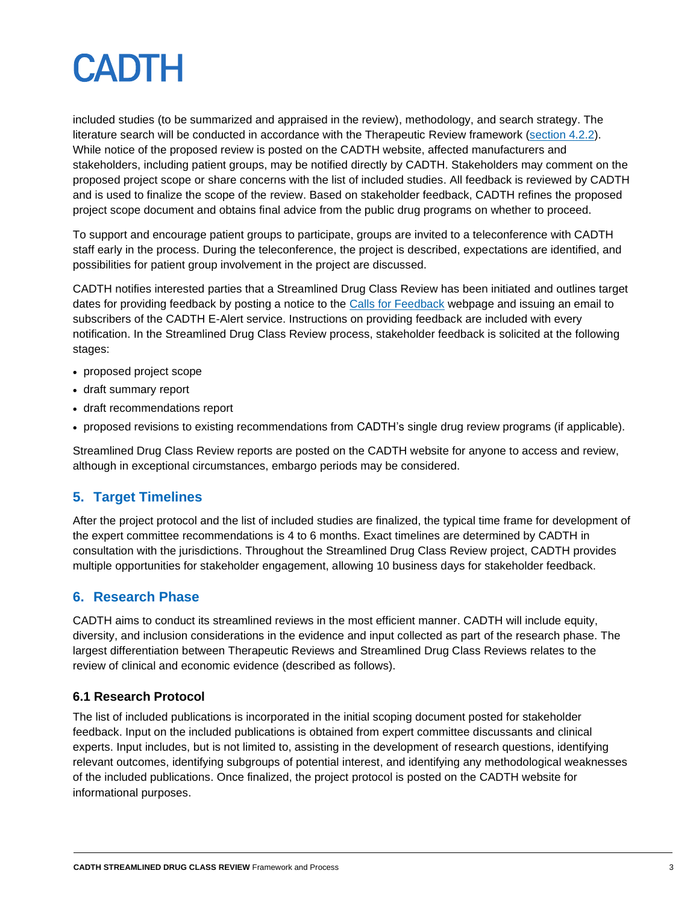

included studies (to be summarized and appraised in the review), methodology, and search strategy. The literature search will be conducted in accordance with the Therapeutic Review framework [\(section 4.2.2\)](https://www.cadth.ca/therapeutic-review-framework). While notice of the proposed review is posted on the CADTH website, affected manufacturers and stakeholders, including patient groups, may be notified directly by CADTH. Stakeholders may comment on the proposed project scope or share concerns with the list of included studies. All feedback is reviewed by CADTH and is used to finalize the scope of the review. Based on stakeholder feedback, CADTH refines the proposed project scope document and obtains final advice from the public drug programs on whether to proceed.

To support and encourage patient groups to participate, groups are invited to a teleconference with CADTH staff early in the process. During the teleconference, the project is described, expectations are identified, and possibilities for patient group involvement in the project are discussed.

CADTH notifies interested parties that a Streamlined Drug Class Review has been initiated and outlines target dates for providing feedback by posting a notice to the [Calls for Feedback](https://www.cadth.ca/stakeholder-feedback) webpage and issuing an email to subscribers of the CADTH E-Alert service. Instructions on providing feedback are included with every notification. In the Streamlined Drug Class Review process, stakeholder feedback is solicited at the following stages:

- proposed project scope
- draft summary report
- draft recommendations report
- proposed revisions to existing recommendations from CADTH's single drug review programs (if applicable).

Streamlined Drug Class Review reports are posted on the CADTH website for anyone to access and review, although in exceptional circumstances, embargo periods may be considered.

# **5. Target Timelines**

After the project protocol and the list of included studies are finalized, the typical time frame for development of the expert committee recommendations is 4 to 6 months. Exact timelines are determined by CADTH in consultation with the jurisdictions. Throughout the Streamlined Drug Class Review project, CADTH provides multiple opportunities for stakeholder engagement, allowing 10 business days for stakeholder feedback.

# **6. Research Phase**

CADTH aims to conduct its streamlined reviews in the most efficient manner. CADTH will include equity, diversity, and inclusion considerations in the evidence and input collected as part of the research phase. The largest differentiation between Therapeutic Reviews and Streamlined Drug Class Reviews relates to the review of clinical and economic evidence (described as follows).

#### **6.1 Research Protocol**

The list of included publications is incorporated in the initial scoping document posted for stakeholder feedback. Input on the included publications is obtained from expert committee discussants and clinical experts. Input includes, but is not limited to, assisting in the development of research questions, identifying relevant outcomes, identifying subgroups of potential interest, and identifying any methodological weaknesses of the included publications. Once finalized, the project protocol is posted on [the](http://www.cadth.ca/) CADTH website for informational purposes.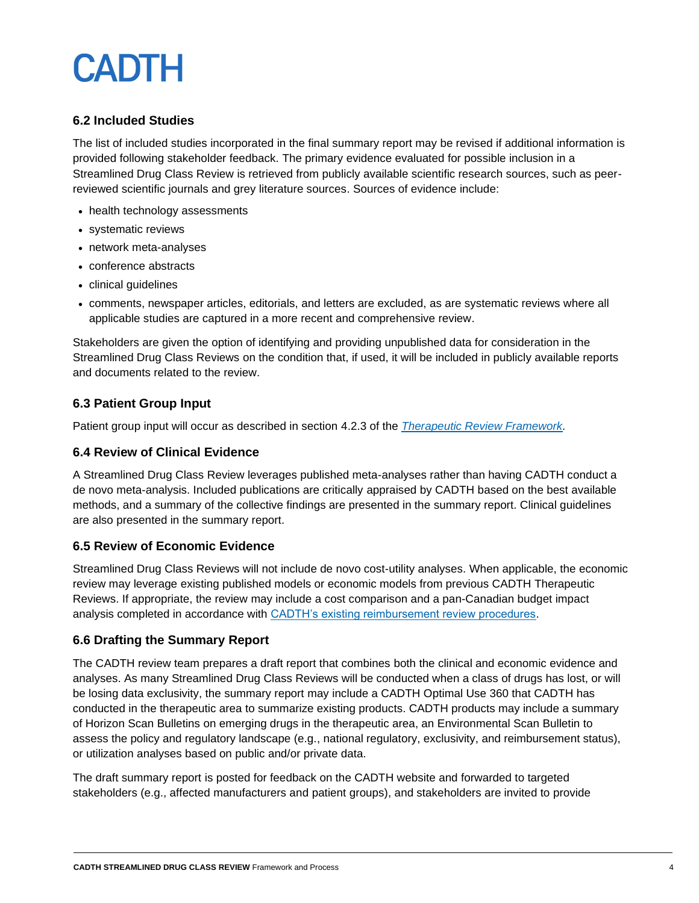# **CADTH**

#### **6.2 Included Studies**

The list of included studies incorporated in the final summary report may be revised if additional information is provided following stakeholder feedback. The primary evidence evaluated for possible inclusion in a Streamlined Drug Class Review is retrieved from publicly available scientific research sources, such as peerreviewed scientific journals and grey literature sources. Sources of evidence include:

- health technology assessments
- systematic reviews
- network meta-analyses
- conference abstracts
- clinical guidelines
- comments, newspaper articles, editorials, and letters are excluded, as are systematic reviews where all applicable studies are captured in a more recent and comprehensive review.

Stakeholders are given the option of identifying and providing unpublished data for consideration in the Streamlined Drug Class Reviews on the condition that, if used, it will be included in publicly available reports and documents related to the review.

#### **6.3 Patient Group Input**

Patient group input will occur as described in section 4.2.3 of the *[Therapeutic Review Framework.](https://www.cadth.ca/therapeutic-review-framework)*

#### **6.4 Review of Clinical Evidence**

A Streamlined Drug Class Review leverages published meta-analyses rather than having CADTH conduct a de novo meta-analysis. Included publications are critically appraised by CADTH based on the best available methods, and a summary of the collective findings are presented in the summary report. Clinical guidelines are also presented in the summary report.

#### **6.5 Review of Economic Evidence**

Streamlined Drug Class Reviews will not include de novo cost-utility analyses. When applicable, the economic review may leverage existing published models or economic models from previous CADTH Therapeutic Reviews. If appropriate, the review may include a cost comparison and a pan-Canadian budget impact analysis completed in accordance with [CADTH's existing reimbursement review procedures.](https://www.cadth.ca/sites/default/files/Drug_Review_Process/CADTH_Drug_Reimbursement_Review_Procedures.pdf)

#### **6.6 Drafting the Summary Report**

The CADTH review team prepares a draft report that combines both the clinical and economic evidence and analyses. As many Streamlined Drug Class Reviews will be conducted when a class of drugs has lost, or will be losing data exclusivity, the summary report may include a CADTH Optimal Use 360 that CADTH has conducted in the therapeutic area to summarize existing products. CADTH products may include a summary of Horizon Scan Bulletins on emerging drugs in the therapeutic area, an Environmental Scan Bulletin to assess the policy and regulatory landscape (e.g., national regulatory, exclusivity, and reimbursement status), or utilization analyses based on public and/or private data.

The draft summary report is posted for feedback on the CADTH website and forwarded to targeted stakeholders (e.g., affected manufacturers and patient groups), and stakeholders are invited to provide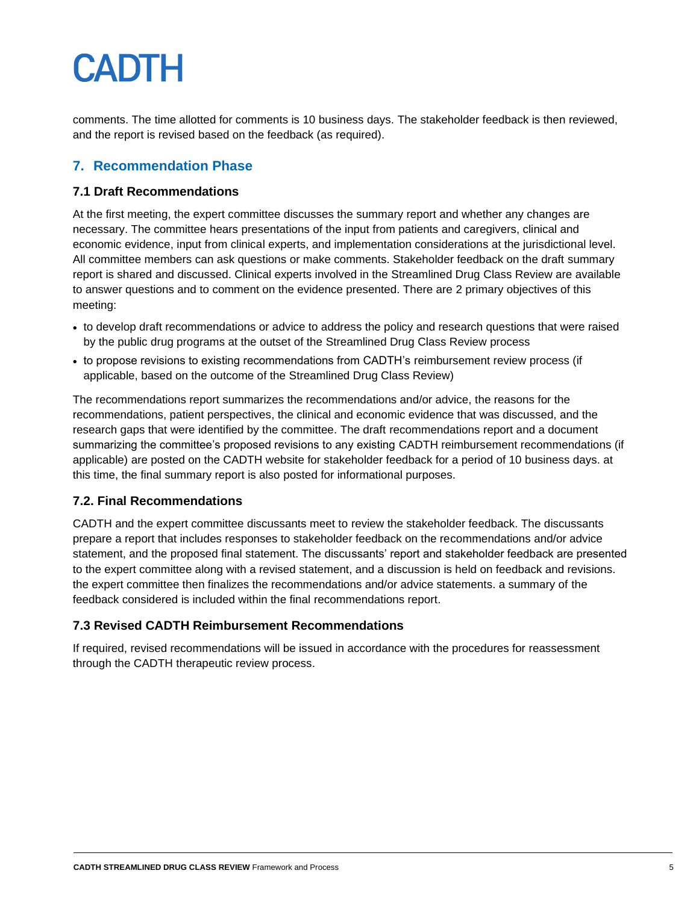# **CADTH**

comments. The time allotted for comments is 10 business days. The stakeholder feedback is then reviewed, and the report is revised based on the feedback (as required).

# **7. Recommendation Phase**

#### **7.1 Draft Recommendations**

At the first meeting, the expert committee discusses the summary report and whether any changes are necessary. The committee hears presentations of the input from patients and caregivers, clinical and economic evidence, input from clinical experts, and implementation considerations at the jurisdictional level. All committee members can ask questions or make comments. Stakeholder feedback on the draft summary report is shared and discussed. Clinical experts involved in the Streamlined Drug Class Review are available to answer questions and to comment on the evidence presented. There are 2 primary objectives of this meeting:

- to develop draft recommendations or advice to address the policy and research questions that were raised by the public drug programs at the outset of the Streamlined Drug Class Review process
- to propose revisions to existing recommendations from CADTH's reimbursement review process (if applicable, based on the outcome of the Streamlined Drug Class Review)

The recommendations report summarizes the recommendations and/or advice, the reasons for the recommendations, patient perspectives, the clinical and economic evidence that was discussed, and the research gaps that were identified by the committee. The draft recommendations report and a document summarizing the committee's proposed revisions to any existing CADTH reimbursement recommendations (if applicable) are posted on the CADTH website for stakeholder feedback for a period of 10 business days. at this time, the final summary report is also posted for informational purposes.

#### **7.2. Final Recommendations**

CADTH and the expert committee discussants meet to review the stakeholder feedback. The discussants prepare a report that includes responses to stakeholder feedback on the recommendations and/or advice statement, and the proposed final statement. The discussants' report and stakeholder feedback are presented to the expert committee along with a revised statement, and a discussion is held on feedback and revisions. the expert committee then finalizes the recommendations and/or advice statements. a summary of the feedback considered is included within the final recommendations report.

#### **7.3 Revised CADTH Reimbursement Recommendations**

If required, revised recommendations will be issued in accordance with the procedures for reassessment through the CADTH therapeutic review process.